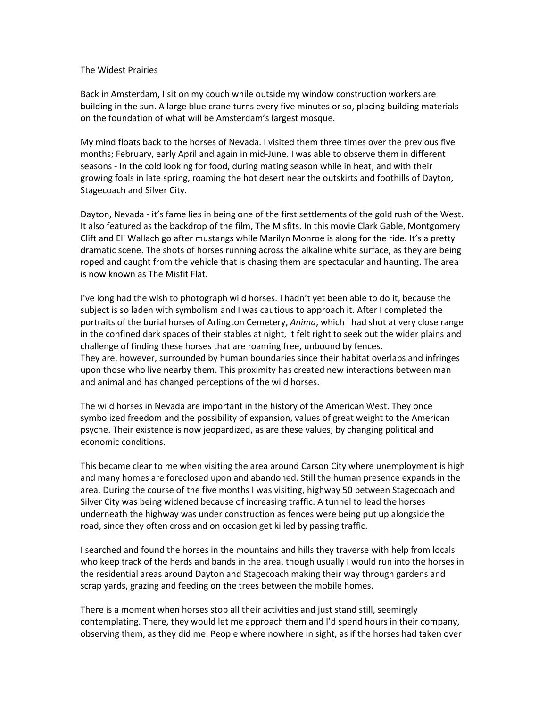## The Widest Prairies

Back in Amsterdam, I sit on my couch while outside my window construction workers are building in the sun. A large blue crane turns every five minutes or so, placing building materials on the foundation of what will be Amsterdam's largest mosque.

My mind floats back to the horses of Nevada. I visited them three times over the previous five months; February, early April and again in mid-June. I was able to observe them in different seasons - In the cold looking for food, during mating season while in heat, and with their growing foals in late spring, roaming the hot desert near the outskirts and foothills of Dayton, Stagecoach and Silver City.

Dayton, Nevada - it's fame lies in being one of the first settlements of the gold rush of the West. It also featured as the backdrop of the film, The Misfits. In this movie Clark Gable, Montgomery Clift and Eli Wallach go after mustangs while Marilyn Monroe is along for the ride. It's a pretty dramatic scene. The shots of horses running across the alkaline white surface, as they are being roped and caught from the vehicle that is chasing them are spectacular and haunting. The area is now known as The Misfit Flat.

I've long had the wish to photograph wild horses. I hadn't yet been able to do it, because the subject is so laden with symbolism and I was cautious to approach it. After I completed the portraits of the burial horses of Arlington Cemetery, *Anima*, which I had shot at very close range in the confined dark spaces of their stables at night, it felt right to seek out the wider plains and challenge of finding these horses that are roaming free, unbound by fences. They are, however, surrounded by human boundaries since their habitat overlaps and infringes upon those who live nearby them. This proximity has created new interactions between man and animal and has changed perceptions of the wild horses.

The wild horses in Nevada are important in the history of the American West. They once symbolized freedom and the possibility of expansion, values of great weight to the American psyche. Their existence is now jeopardized, as are these values, by changing political and economic conditions.

This became clear to me when visiting the area around Carson City where unemployment is high and many homes are foreclosed upon and abandoned. Still the human presence expands in the area. During the course of the five months I was visiting, highway 50 between Stagecoach and Silver City was being widened because of increasing traffic. A tunnel to lead the horses underneath the highway was under construction as fences were being put up alongside the road, since they often cross and on occasion get killed by passing traffic.

I searched and found the horses in the mountains and hills they traverse with help from locals who keep track of the herds and bands in the area, though usually I would run into the horses in the residential areas around Dayton and Stagecoach making their way through gardens and scrap yards, grazing and feeding on the trees between the mobile homes.

There is a moment when horses stop all their activities and just stand still, seemingly contemplating. There, they would let me approach them and I'd spend hours in their company, observing them, as they did me. People where nowhere in sight, as if the horses had taken over